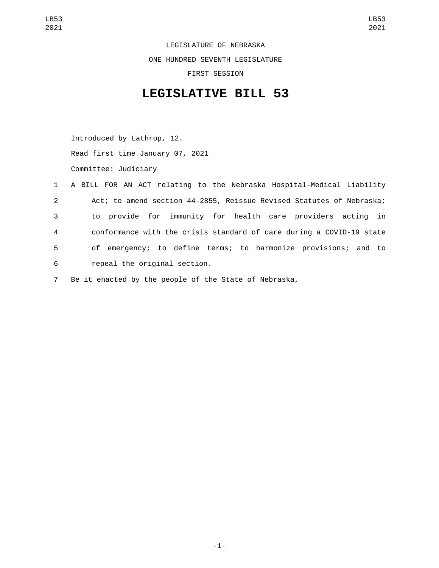LEGISLATURE OF NEBRASKA ONE HUNDRED SEVENTH LEGISLATURE FIRST SESSION

## **LEGISLATIVE BILL 53**

Introduced by Lathrop, 12. Read first time January 07, 2021 Committee: Judiciary

|             | 1 A BILL FOR AN ACT relating to the Nebraska Hospital-Medical Liability |
|-------------|-------------------------------------------------------------------------|
| $2^{\circ}$ | Act; to amend section 44-2855, Reissue Revised Statutes of Nebraska;    |
| 3           | to provide for immunity for health care providers acting in             |
| 4           | conformance with the crisis standard of care during a COVID-19 state    |
| 5           | of emergency; to define terms; to harmonize provisions; and to          |
| 6           | repeal the original section.                                            |
|             |                                                                         |

7 Be it enacted by the people of the State of Nebraska,